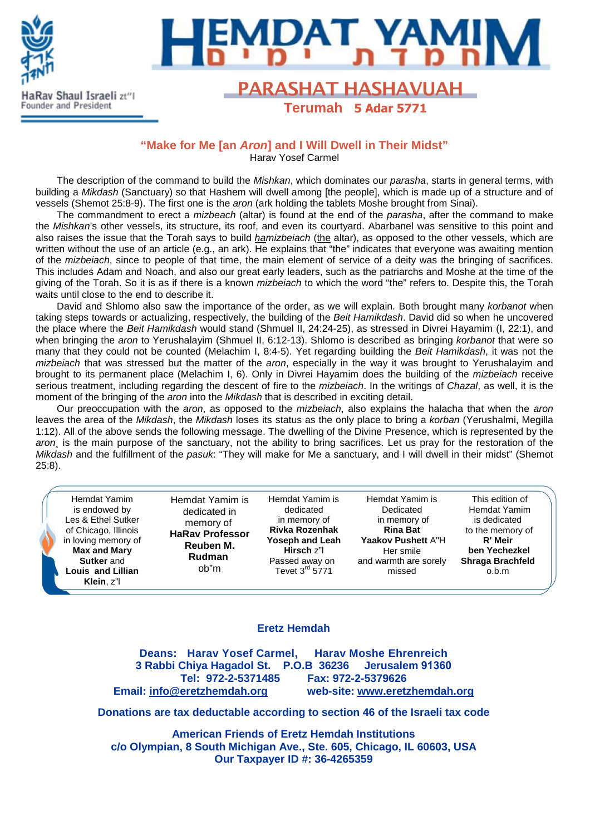



# Rav Shaul Israeli zt<sup>ri</sup>l **FARASHAT HASHAVUAH Terumah 5 Adar 5771**

### **"Make for Me [an Aron] and I Will Dwell in Their Midst"**

Harav Yosef Carmel

The description of the command to build the *Mishkan*, which dominates our parasha, starts in general terms, with building a Mikdash (Sanctuary) so that Hashem will dwell among [the people], which is made up of a structure and of vessels (Shemot 25:8-9). The first one is the aron (ark holding the tablets Moshe brought from Sinai).

The commandment to erect a *mizbeach* (altar) is found at the end of the *parasha*, after the command to make the Mishkan's other vessels, its structure, its roof, and even its courtyard. Abarbanel was sensitive to this point and also raises the issue that the Torah says to build *hamizbeiach* (the altar), as opposed to the other vessels, which are written without the use of an article (e.g., an ark). He explains that "the" indicates that everyone was awaiting mention of the *mizbeiach*, since to people of that time, the main element of service of a deity was the bringing of sacrifices. This includes Adam and Noach, and also our great early leaders, such as the patriarchs and Moshe at the time of the giving of the Torah. So it is as if there is a known *mizbeiach* to which the word "the" refers to. Despite this, the Torah waits until close to the end to describe it.

David and Shlomo also saw the importance of the order, as we will explain. Both brought many korbanot when taking steps towards or actualizing, respectively, the building of the Beit Hamikdash. David did so when he uncovered the place where the Beit Hamikdash would stand (Shmuel II, 24:24-25), as stressed in Divrei Hayamim (I, 22:1), and when bringing the aron to Yerushalayim (Shmuel II, 6:12-13). Shlomo is described as bringing korbanot that were so many that they could not be counted (Melachim I, 8:4-5). Yet regarding building the Beit Hamikdash, it was not the mizbeiach that was stressed but the matter of the aron, especially in the way it was brought to Yerushalayim and brought to its permanent place (Melachim I, 6). Only in Divrei Hayamim does the building of the mizbeiach receive serious treatment, including regarding the descent of fire to the *mizbeiach*. In the writings of *Chazal*, as well, it is the moment of the bringing of the *aron* into the *Mikdash* that is described in exciting detail.

Our preoccupation with the aron, as opposed to the mizbeiach, also explains the halacha that when the aron leaves the area of the Mikdash, the Mikdash loses its status as the only place to bring a korban (Yerushalmi, Megilla 1:12). All of the above sends the following message. The dwelling of the Divine Presence, which is represented by the aron, is the main purpose of the sanctuary, not the ability to bring sacrifices. Let us pray for the restoration of the Mikdash and the fulfillment of the pasuk: "They will make for Me a sanctuary, and I will dwell in their midst" (Shemot 25:8).

| Hemdat Yamim<br>is endowed by<br>Les & Ethel Sutker<br>of Chicago, Illinois<br>in loving memory of<br>Max and Mary<br>Sutker and<br><b>Louis and Lillian</b> | Hemdat Yamim is<br>dedicated in<br>memory of<br><b>HaRav Professor</b><br>Reuben M.<br>Rudman<br>ob"m | Hemdat Yamim is<br>dedicated<br>in memory of<br>Rivka Rozenhak<br><b>Yoseph and Leah</b><br>Hirsch z"l<br>Passed away on<br>Tevet 3 <sup>rd</sup> 5771 | Hemdat Yamim is<br>Dedicated<br>in memory of<br><b>Rina Bat</b><br>Yaakov Pushett A"H<br>Her smile<br>and warmth are sorely<br>missed | This edition of<br><b>Hemdat Yamim</b><br>is dedicated<br>to the memory of<br>R' Meir<br>ben Yechezkel<br>Shraga Brachfeld<br>o.b.m |
|--------------------------------------------------------------------------------------------------------------------------------------------------------------|-------------------------------------------------------------------------------------------------------|--------------------------------------------------------------------------------------------------------------------------------------------------------|---------------------------------------------------------------------------------------------------------------------------------------|-------------------------------------------------------------------------------------------------------------------------------------|
| Klein. z"l                                                                                                                                                   |                                                                                                       |                                                                                                                                                        |                                                                                                                                       |                                                                                                                                     |

### **Eretz Hemdah**

**Deans: Harav Yosef Carmel, Harav Moshe Ehrenreich 3 Rabbi Chiya Hagadol St. P.O.B 36236 Jerusalem 91360 Tel: 972-2-5371485 Fax: 972-2-5379626 Email: info@eretzhemdah.org web-site: www.eretzhemdah.org**

**Donations are tax deductable according to section 46 of the Israeli tax code** 

**American Friends of Eretz Hemdah Institutions c/o Olympian, 8 South Michigan Ave., Ste. 605, Chicago, IL 60603, USA Our Taxpayer ID #: 36-4265359**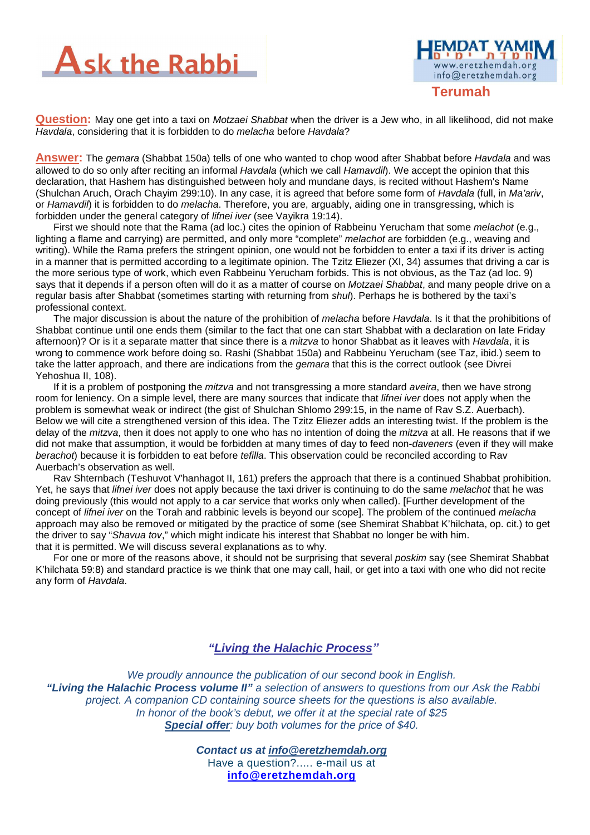



**Question:** May one get into a taxi on Motzaei Shabbat when the driver is a Jew who, in all likelihood, did not make Havdala, considering that it is forbidden to do melacha before Havdala?

**Answer:** The gemara (Shabbat 150a) tells of one who wanted to chop wood after Shabbat before Havdala and was allowed to do so only after reciting an informal *Havdala* (which we call *Hamavdil*). We accept the opinion that this declaration, that Hashem has distinguished between holy and mundane days, is recited without Hashem's Name (Shulchan Aruch, Orach Chayim 299:10). In any case, it is agreed that before some form of Havdala (full, in Ma'ariv, or Hamavdil) it is forbidden to do melacha. Therefore, you are, arguably, aiding one in transgressing, which is forbidden under the general category of lifnei iver (see Vayikra 19:14).

First we should note that the Rama (ad loc.) cites the opinion of Rabbeinu Yerucham that some melachot (e.g., lighting a flame and carrying) are permitted, and only more "complete" *melachot* are forbidden (e.g., weaving and writing). While the Rama prefers the stringent opinion, one would not be forbidden to enter a taxi if its driver is acting in a manner that is permitted according to a legitimate opinion. The Tzitz Eliezer (XI, 34) assumes that driving a car is the more serious type of work, which even Rabbeinu Yerucham forbids. This is not obvious, as the Taz (ad loc. 9) says that it depends if a person often will do it as a matter of course on Motzaei Shabbat, and many people drive on a regular basis after Shabbat (sometimes starting with returning from shul). Perhaps he is bothered by the taxi's professional context.

The major discussion is about the nature of the prohibition of *melacha* before Havdala. Is it that the prohibitions of Shabbat continue until one ends them (similar to the fact that one can start Shabbat with a declaration on late Friday afternoon)? Or is it a separate matter that since there is a *mitzva* to honor Shabbat as it leaves with Havdala, it is wrong to commence work before doing so. Rashi (Shabbat 150a) and Rabbeinu Yerucham (see Taz, ibid.) seem to take the latter approach, and there are indications from the *gemara* that this is the correct outlook (see Divrei Yehoshua II, 108).

If it is a problem of postponing the *mitzva* and not transgressing a more standard *aveira*, then we have strong room for leniency. On a simple level, there are many sources that indicate that *lifnei iver* does not apply when the problem is somewhat weak or indirect (the gist of Shulchan Shlomo 299:15, in the name of Rav S.Z. Auerbach). Below we will cite a strengthened version of this idea. The Tzitz Eliezer adds an interesting twist. If the problem is the delay of the mitzva, then it does not apply to one who has no intention of doing the mitzva at all. He reasons that if we did not make that assumption, it would be forbidden at many times of day to feed non-*daveners* (even if they will make berachot) because it is forbidden to eat before tefilla. This observation could be reconciled according to Rav Auerbach's observation as well.

Rav Shternbach (Teshuvot V'hanhagot II, 161) prefers the approach that there is a continued Shabbat prohibition. Yet, he says that *lifnei iver* does not apply because the taxi driver is continuing to do the same *melachot* that he was doing previously (this would not apply to a car service that works only when called). [Further development of the concept of lifnei iver on the Torah and rabbinic levels is beyond our scope]. The problem of the continued melacha approach may also be removed or mitigated by the practice of some (see Shemirat Shabbat K'hilchata, op. cit.) to get the driver to say "Shavua tov," which might indicate his interest that Shabbat no longer be with him. that it is permitted. We will discuss several explanations as to why.

For one or more of the reasons above, it should not be surprising that several poskim say (see Shemirat Shabbat K'hilchata 59:8) and standard practice is we think that one may call, hail, or get into a taxi with one who did not recite any form of Havdala.

### **"Living the Halachic Process***"*

We proudly announce the publication of our second book in English.  **"Living the Halachic Process volume II"** a selection of answers to questions from our Ask the Rabbi project. A companion CD containing source sheets for the questions is also available. In honor of the book's debut, we offer it at the special rate of \$25 **Special offer**: buy both volumes for the price of \$40.

> **Contact us at info@eretzhemdah.org** Have a question?..... e-mail us at **info@eretzhemdah.org**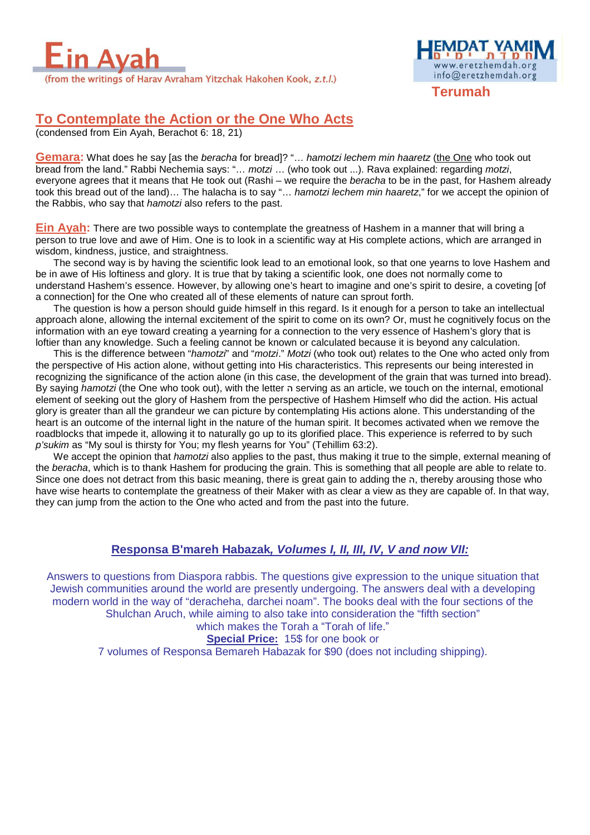



**Terumah**

## **To Contemplate the Action or the One Who Acts**

(condensed from Ein Ayah, Berachot 6: 18, 21)

**Gemara:** What does he say [as the *beracha* for bread]? "... hamotzi lechem min haaretz (the One who took out bread from the land." Rabbi Nechemia says: "... motzi ... (who took out ...). Rava explained: regarding motzi, everyone agrees that it means that He took out (Rashi – we require the *beracha* to be in the past, for Hashem already took this bread out of the land)... The halacha is to say "... hamotzi lechem min haaretz," for we accept the opinion of the Rabbis, who say that hamotzi also refers to the past.

**Ein Ayah:** There are two possible ways to contemplate the greatness of Hashem in a manner that will bring a person to true love and awe of Him. One is to look in a scientific way at His complete actions, which are arranged in wisdom, kindness, justice, and straightness.

The second way is by having the scientific look lead to an emotional look, so that one yearns to love Hashem and be in awe of His loftiness and glory. It is true that by taking a scientific look, one does not normally come to understand Hashem's essence. However, by allowing one's heart to imagine and one's spirit to desire, a coveting [of a connection] for the One who created all of these elements of nature can sprout forth.

The question is how a person should guide himself in this regard. Is it enough for a person to take an intellectual approach alone, allowing the internal excitement of the spirit to come on its own? Or, must he cognitively focus on the information with an eye toward creating a yearning for a connection to the very essence of Hashem's glory that is loftier than any knowledge. Such a feeling cannot be known or calculated because it is beyond any calculation.

This is the difference between "hamotzi" and "motzi." Motzi (who took out) relates to the One who acted only from the perspective of His action alone, without getting into His characteristics. This represents our being interested in recognizing the significance of the action alone (in this case, the development of the grain that was turned into bread). By saying hamotzi (the One who took out), with the letter ה serving as an article, we touch on the internal, emotional element of seeking out the glory of Hashem from the perspective of Hashem Himself who did the action. His actual glory is greater than all the grandeur we can picture by contemplating His actions alone. This understanding of the heart is an outcome of the internal light in the nature of the human spirit. It becomes activated when we remove the roadblocks that impede it, allowing it to naturally go up to its glorified place. This experience is referred to by such p'sukim as "My soul is thirsty for You; my flesh yearns for You" (Tehillim 63:2).

We accept the opinion that *hamotzi* also applies to the past, thus making it true to the simple, external meaning of the beracha, which is to thank Hashem for producing the grain. This is something that all people are able to relate to. Since one does not detract from this basic meaning, there is great gain to adding the ה, thereby arousing those who have wise hearts to contemplate the greatness of their Maker with as clear a view as they are capable of. In that way, they can jump from the action to the One who acted and from the past into the future.

### **Responsa B'mareh Habazak, Volumes I, II, III, IV, V and now VII:**

Answers to questions from Diaspora rabbis. The questions give expression to the unique situation that Jewish communities around the world are presently undergoing. The answers deal with a developing modern world in the way of "deracheha, darchei noam". The books deal with the four sections of the Shulchan Aruch, while aiming to also take into consideration the "fifth section" which makes the Torah a "Torah of life."

**Special Price:** 15\$ for one book or 7 volumes of Responsa Bemareh Habazak for \$90 (does not including shipping).